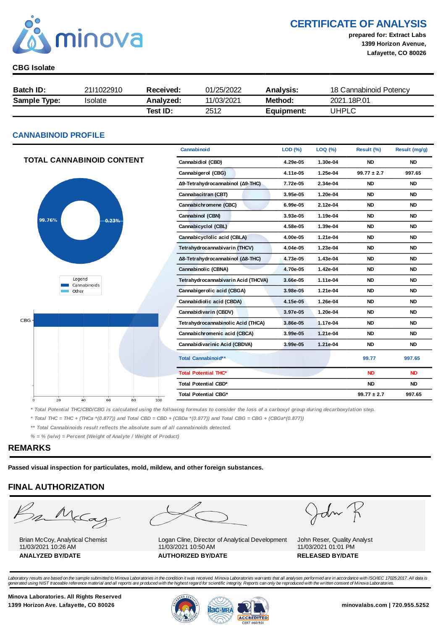

CERTIFICATE OF ANALYSIS

prepared for: Extract Labs 1399 Horizon Avenue, Lafayette, CO 80026

#### CBG Isolate

| <b>Batch ID:</b>    | 2111022910 | Received: | 01/25/2022 | <b>Analysis:</b> | 18 Cannabinoid Potency |
|---------------------|------------|-----------|------------|------------------|------------------------|
| <b>Sample Type:</b> | Isolate    | Analyzed: | 11/03/2021 | Method:          | 2021.18P.01            |
|                     |            | Test ID:  | 2512       | Equipment:       | UHPLC                  |

#### CANNABINOID PROFILE

|                                         | Cannabinoid                         | LOD (%)  | LOQ (%)  | Result (%)      | Result (mg/g) |
|-----------------------------------------|-------------------------------------|----------|----------|-----------------|---------------|
| <b>TOTAL CANNABINOID CONTENT</b>        | Cannabidiol (CBD)                   | 4.29e-05 | 1.30e-04 | <b>ND</b>       | <b>ND</b>     |
|                                         | Cannabigerol (CBG)                  | 4.11e-05 | 1.25e-04 | $99.77 \pm 2.7$ | 997.65        |
|                                         | Δ9-Tetrahydrocannabinol (Δ9-THC)    | 7.72e-05 | 2.34e-04 | <b>ND</b>       | <b>ND</b>     |
|                                         | Cannabacitran (CBT)                 | 3.95e-05 | 1.20e-04 | <b>ND</b>       | <b>ND</b>     |
|                                         | Cannabichromene (CBC)               | 6.99e-05 | 2.12e-04 | <b>ND</b>       | <b>ND</b>     |
| 99.76%<br>0.23%                         | Cannabinol (CBN)                    | 3.93e-05 | 1.19e-04 | <b>ND</b>       | <b>ND</b>     |
|                                         | Cannabicyclol (CBL)                 | 4.58e-05 | 1.39e-04 | <b>ND</b>       | <b>ND</b>     |
|                                         | Cannabicyclolic acid (CBLA)         | 4.00e-05 | 1.21e-04 | <b>ND</b>       | <b>ND</b>     |
|                                         | Tetrahydrocannabivarin (THCV)       | 4.04e-05 | 1.23e-04 | <b>ND</b>       | <b>ND</b>     |
|                                         | Δ8-Tetrahydrocannabinol (Δ8-THC)    | 4.73e-05 | 1.43e-04 | <b>ND</b>       | <b>ND</b>     |
|                                         | Cannabinolic (CBNA)                 | 4.70e-05 | 1.42e-04 | <b>ND</b>       | <b>ND</b>     |
| Legend<br>Cannabinoids                  | Tetrahydrocannabivarin Acid (THCVA) | 3.66e-05 | 1.11e-04 | <b>ND</b>       | <b>ND</b>     |
| Other                                   | Cannabigerolic acid (CBGA)          | 3.98e-05 | 1.21e-04 | <b>ND</b>       | <b>ND</b>     |
|                                         | Cannabidiolic acid (CBDA)           | 4.15e-05 | 1.26e-04 | <b>ND</b>       | <b>ND</b>     |
|                                         | Cannabidivarin (CBDV)               | 3.97e-05 | 1.20e-04 | <b>ND</b>       | <b>ND</b>     |
| $CBG +$                                 | Tetrahydrocannabinolic Acid (THCA)  | 3.86e-05 | 1.17e-04 | <b>ND</b>       | <b>ND</b>     |
|                                         | Cannabichromenic acid (CBCA)        | 3.99e-05 | 1.21e-04 | <b>ND</b>       | <b>ND</b>     |
|                                         | Cannabidivarinic Acid (CBDVA)       | 3.99e-05 | 1.21e-04 | <b>ND</b>       | <b>ND</b>     |
|                                         | Total Cannabinoid**                 |          |          | 99.77           | 997.65        |
|                                         | <b>Total Potential THC*</b>         |          |          | <b>ND</b>       | <b>ND</b>     |
|                                         | Total Potential CBD*                |          |          | <b>ND</b>       | <b>ND</b>     |
| 20<br>40<br>60<br>80<br>100<br>$\Omega$ | Total Potential CBG*                |          |          | $99.77 \pm 2.7$ | 997.65        |

\* Total Potential THC/CBD/CBG is calculated using the following formulas to consider the loss of a carboxyl group during decarboxylation step.

\* Total THC = THC + (THCa \*(0.877)) and Total CBD = CBD + (CBDa \*(0.877)) and Total CBG = CBG + (CBGa\*(0.877))

\*\* Total Cannabinoids result reflects the absolute sum of all cannabinoids detected.

 $% =$  % (w/w) = Percent (Weight of Analyte / Weight of Product)

#### REMARKS

Passed visual inspection for particulates, mold, mildew, and other foreign substances.

#### FINAL AUTHORIZATION

m McCa

Brian McCoy, Analytical Chemist 11/03/2021 10:26 AM



Logan Cline, Director of Analytical Development 11/03/2021 10:50 AM ANALYZED BY/DATE AUTHORIZED BY/DATE AUTHORIZED BY/DATE

John

John Reser, Quality Analyst 11/03/2021 01:01 PM

Laboratory results are based on the sample submitted to Minova Laboratories in the condition it was received. Minova Laboratories warrants that all analyses performed are in accordance with ISO/IEC 17025:2017. All data is<br>

Minova Laboratories. All Rights Reserved

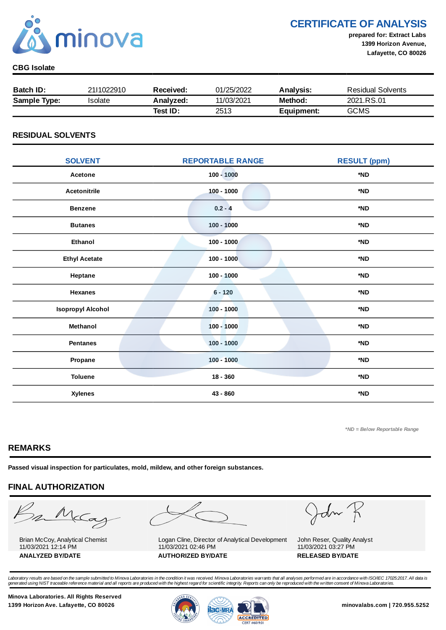

CERTIFICATE OF ANALYSIS

prepared for: Extract Labs 1399 Horizon Avenue, Lafayette, CO 80026

#### CBG Isolate

| <b>Batch ID:</b>    | 2111022910 | Received: | 01/25/2022 | <b>Analysis:</b> | <b>Residual Solvents</b> |
|---------------------|------------|-----------|------------|------------------|--------------------------|
| <b>Sample Type:</b> | 'solate    | Analyzed: | 11/03/2021 | Method:          | 2021.RS.01               |
|                     |            | Test ID:  | 2513       | Equipment:       | <b>GCMS</b>              |

#### RESIDUAL SOLVENTS

| <b>SOLVENT</b>           | <b>REPORTABLE RANGE</b> | <b>RESULT (ppm)</b> |
|--------------------------|-------------------------|---------------------|
| Acetone                  | $100 - 1000$            | *ND                 |
| <b>Acetonitrile</b>      | $100 - 1000$            | *ND                 |
| <b>Benzene</b>           | $0.2 - 4$               | *ND                 |
| <b>Butanes</b>           | $100 - 1000$            | *ND                 |
| <b>Ethanol</b>           | $100 - 1000$            | *ND                 |
| <b>Ethyl Acetate</b>     | $100 - 1000$            | *ND                 |
| Heptane                  | $100 - 1000$            | *ND                 |
| <b>Hexanes</b>           | $6 - 120$               | *ND                 |
| <b>Isopropyl Alcohol</b> | $100 - 1000$            | *ND                 |
| Methanol                 | $100 - 1000$            | *ND                 |
| <b>Pentanes</b>          | $100 - 1000$            | *ND                 |
| Propane                  | $100 - 1000$            | *ND                 |
| <b>Toluene</b>           | $18 - 360$              | *ND                 |
| <b>Xylenes</b>           | 43 - 860                | *ND                 |

\*ND = Below Reportable Range

#### REMARKS

Passed visual inspection for particulates, mold, mildew, and other foreign substances.

### FINAL AUTHORIZATION

mMcCa

Brian McCoy, Analytical Chemist 11/03/2021 12:14 PM



Logan Cline, Director of Analytical Development 11/03/2021 02:46 PM ANALYZED BY/DATE AUTHORIZED BY/DATE AUTHORIZED BY/DATE

John

John Reser, Quality Analyst 11/03/2021 03:27 PM

Laboratory results are based on the sample submitted to Minova Laboratories in the condition it was received. Minova Laboratories warrants that all analyses performed are in accordance with ISO/IEC 17025:2017. All data is<br>

Minova Laboratories. All Rights Reserved 1399 Horizon Ave. Lafayette, CO 80026 **1399 Horizon Ave. Lafayette, CO 80026** minovalabs.com | 720.955.5252